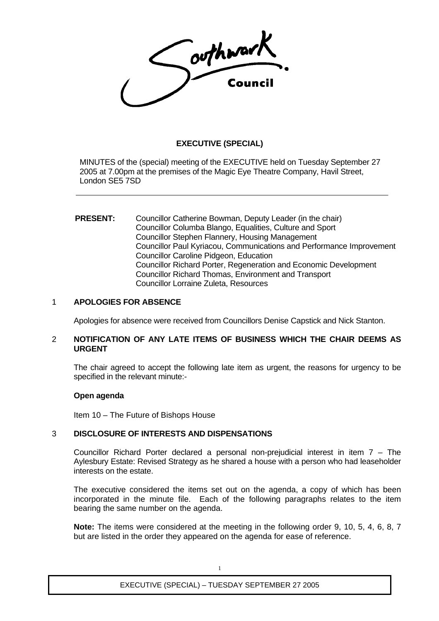Couphwark

# **EXECUTIVE (SPECIAL)**

MINUTES of the (special) meeting of the EXECUTIVE held on Tuesday September 27 2005 at 7.00pm at the premises of the Magic Eye Theatre Company, Havil Street, London SE5 7SD

#### **PRESENT:** Councillor Catherine Bowman, Deputy Leader (in the chair) Councillor Columba Blango, Equalities, Culture and Sport Councillor Stephen Flannery, Housing Management Councillor Paul Kyriacou, Communications and Performance Improvement Councillor Caroline Pidgeon, Education Councillor Richard Porter, Regeneration and Economic Development Councillor Richard Thomas, Environment and Transport Councillor Lorraine Zuleta, Resources

#### 1 **APOLOGIES FOR ABSENCE**

Apologies for absence were received from Councillors Denise Capstick and Nick Stanton.

#### 2 **NOTIFICATION OF ANY LATE ITEMS OF BUSINESS WHICH THE CHAIR DEEMS AS URGENT**

The chair agreed to accept the following late item as urgent, the reasons for urgency to be specified in the relevant minute:-

#### **Open agenda**

Item 10 – The Future of Bishops House

#### 3 **DISCLOSURE OF INTERESTS AND DISPENSATIONS**

Councillor Richard Porter declared a personal non-prejudicial interest in item 7 – The Aylesbury Estate: Revised Strategy as he shared a house with a person who had leaseholder interests on the estate.

The executive considered the items set out on the agenda, a copy of which has been incorporated in the minute file. Each of the following paragraphs relates to the item bearing the same number on the agenda.

**Note:** The items were considered at the meeting in the following order 9, 10, 5, 4, 6, 8, 7 but are listed in the order they appeared on the agenda for ease of reference.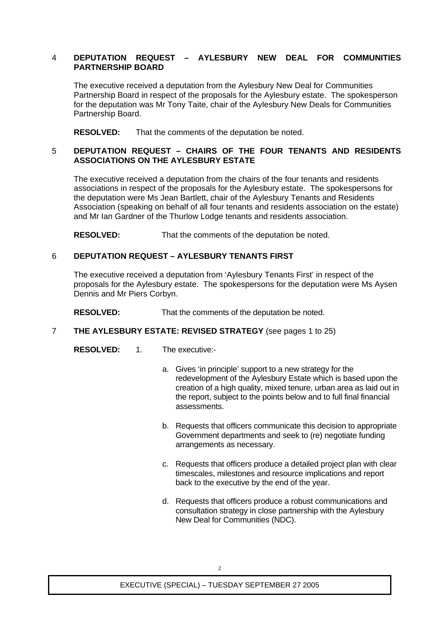## 4 **DEPUTATION REQUEST – AYLESBURY NEW DEAL FOR COMMUNITIES PARTNERSHIP BOARD**

The executive received a deputation from the Aylesbury New Deal for Communities Partnership Board in respect of the proposals for the Aylesbury estate. The spokesperson for the deputation was Mr Tony Taite, chair of the Aylesbury New Deals for Communities Partnership Board.

**RESOLVED:** That the comments of the deputation be noted.

## 5 **DEPUTATION REQUEST – CHAIRS OF THE FOUR TENANTS AND RESIDENTS ASSOCIATIONS ON THE AYLESBURY ESTATE**

The executive received a deputation from the chairs of the four tenants and residents associations in respect of the proposals for the Aylesbury estate. The spokespersons for the deputation were Ms Jean Bartlett, chair of the Aylesbury Tenants and Residents Association (speaking on behalf of all four tenants and residents association on the estate) and Mr Ian Gardner of the Thurlow Lodge tenants and residents association.

**RESOLVED:** That the comments of the deputation be noted.

## 6 **DEPUTATION REQUEST – AYLESBURY TENANTS FIRST**

The executive received a deputation from 'Aylesbury Tenants First' in respect of the proposals for the Aylesbury estate. The spokespersons for the deputation were Ms Aysen Dennis and Mr Piers Corbyn.

**RESOLVED:** That the comments of the deputation be noted.

## 7 **THE AYLESBURY ESTATE: REVISED STRATEGY** (see pages 1 to 25)

**RESOLVED:** 1. The executive:-

- a. Gives 'in principle' support to a new strategy for the redevelopment of the Aylesbury Estate which is based upon the creation of a high quality, mixed tenure, urban area as laid out in the report, subject to the points below and to full final financial assessments.
- b. Requests that officers communicate this decision to appropriate Government departments and seek to (re) negotiate funding arrangements as necessary.
- c. Requests that officers produce a detailed project plan with clear timescales, milestones and resource implications and report back to the executive by the end of the year.
- d. Requests that officers produce a robust communications and consultation strategy in close partnership with the Aylesbury New Deal for Communities (NDC).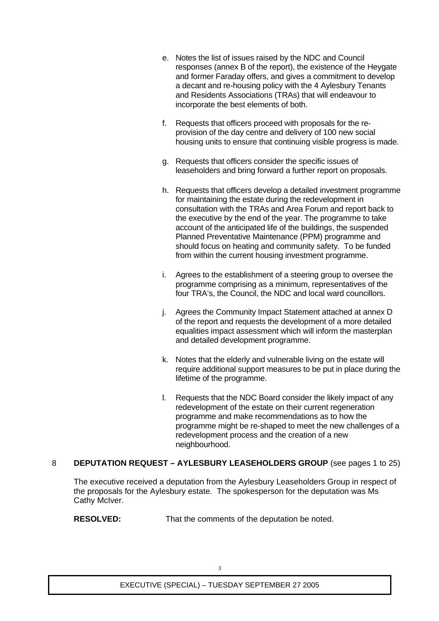- e. Notes the list of issues raised by the NDC and Council responses (annex B of the report), the existence of the Heygate and former Faraday offers, and gives a commitment to develop a decant and re-housing policy with the 4 Aylesbury Tenants and Residents Associations (TRAs) that will endeavour to incorporate the best elements of both.
- f. Requests that officers proceed with proposals for the reprovision of the day centre and delivery of 100 new social housing units to ensure that continuing visible progress is made.
- g. Requests that officers consider the specific issues of leaseholders and bring forward a further report on proposals.
- h. Requests that officers develop a detailed investment programme for maintaining the estate during the redevelopment in consultation with the TRAs and Area Forum and report back to the executive by the end of the year. The programme to take account of the anticipated life of the buildings, the suspended Planned Preventative Maintenance (PPM) programme and should focus on heating and community safety. To be funded from within the current housing investment programme.
- i. Agrees to the establishment of a steering group to oversee the programme comprising as a minimum, representatives of the four TRA's, the Council, the NDC and local ward councillors.
- j. Agrees the Community Impact Statement attached at annex D of the report and requests the development of a more detailed equalities impact assessment which will inform the masterplan and detailed development programme.
- k. Notes that the elderly and vulnerable living on the estate will require additional support measures to be put in place during the lifetime of the programme.
- l. Requests that the NDC Board consider the likely impact of any redevelopment of the estate on their current regeneration programme and make recommendations as to how the programme might be re-shaped to meet the new challenges of a redevelopment process and the creation of a new neighbourhood.

## 8 **DEPUTATION REQUEST – AYLESBURY LEASEHOLDERS GROUP** (see pages 1 to 25)

The executive received a deputation from the Aylesbury Leaseholders Group in respect of the proposals for the Aylesbury estate. The spokesperson for the deputation was Ms Cathy McIver.

**RESOLVED:** That the comments of the deputation be noted.